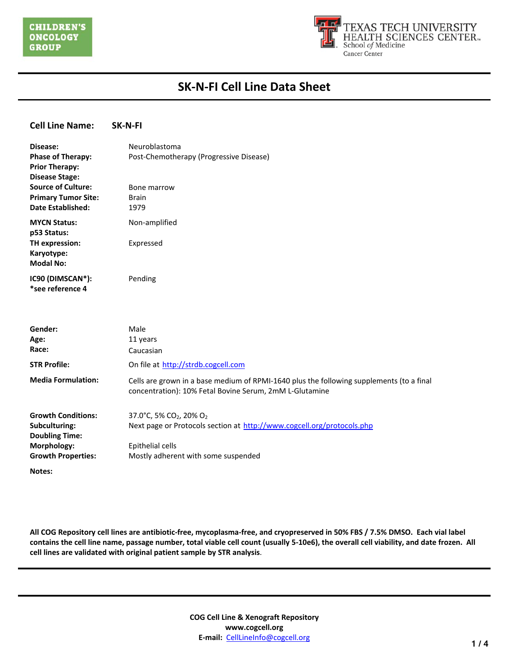

| <b>Cell Line Name:</b>                                                                                          | SK-N-FI                                                                                                                                                                              |
|-----------------------------------------------------------------------------------------------------------------|--------------------------------------------------------------------------------------------------------------------------------------------------------------------------------------|
| Disease:<br><b>Phase of Therapy:</b><br><b>Prior Therapy:</b><br><b>Disease Stage:</b>                          | Neuroblastoma<br>Post-Chemotherapy (Progressive Disease)                                                                                                                             |
| <b>Source of Culture:</b><br><b>Primary Tumor Site:</b><br><b>Date Established:</b>                             | Bone marrow<br><b>Brain</b><br>1979                                                                                                                                                  |
| <b>MYCN Status:</b><br>p53 Status:<br>TH expression:<br>Karyotype:<br><b>Modal No:</b>                          | Non-amplified<br>Expressed                                                                                                                                                           |
| IC90 (DIMSCAN*):<br>*see reference 4                                                                            | Pending                                                                                                                                                                              |
| Gender:<br>Age:<br>Race:<br><b>STR Profile:</b>                                                                 | Male<br>11 years<br>Caucasian<br>On file at http://strdb.cogcell.com                                                                                                                 |
| <b>Media Formulation:</b>                                                                                       | Cells are grown in a base medium of RPMI-1640 plus the following supplements (to a final<br>concentration): 10% Fetal Bovine Serum, 2mM L-Glutamine                                  |
| <b>Growth Conditions:</b><br>Subculturing:<br><b>Doubling Time:</b><br>Morphology:<br><b>Growth Properties:</b> | 37.0°C, 5% CO <sub>2</sub> , 20% O <sub>2</sub><br>Next page or Protocols section at http://www.cogcell.org/protocols.php<br>Epithelial cells<br>Mostly adherent with some suspended |
|                                                                                                                 |                                                                                                                                                                                      |

**Notes:**

**All COG Repository cell lines are antibiotic-free, mycoplasma-free, and cryopreserved in 50% FBS / 7.5% DMSO. Each vial label contains the cell line name, passage number, total viable cell count (usually 5-10e6), the overall cell viability, and date frozen. All cell lines are validated with original patient sample by STR analysis**.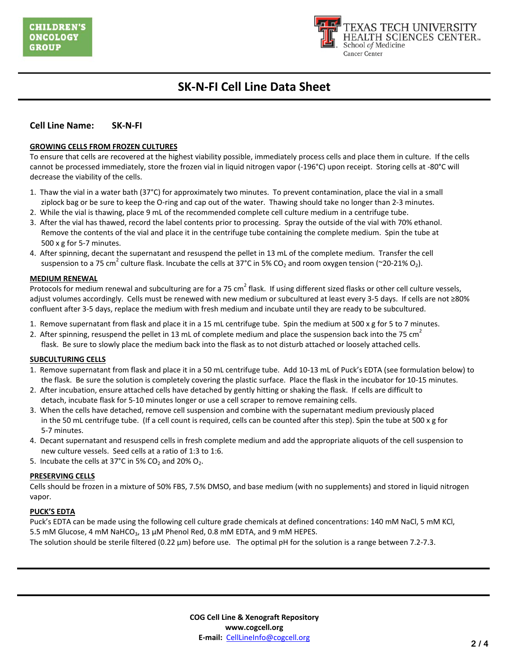

### **Cell Line Name: SK-N-FI**

#### **GROWING CELLS FROM FROZEN CULTURES**

To ensure that cells are recovered at the highest viability possible, immediately process cells and place them in culture. If the cells cannot be processed immediately, store the frozen vial in liquid nitrogen vapor (-196°C) upon receipt. Storing cells at -80°C will decrease the viability of the cells.

- 1. Thaw the vial in a water bath (37°C) for approximately two minutes. To prevent contamination, place the vial in a small ziplock bag or be sure to keep the O-ring and cap out of the water. Thawing should take no longer than 2-3 minutes.
- 2. While the vial is thawing, place 9 mL of the recommended complete cell culture medium in a centrifuge tube.
- 3. After the vial has thawed, record the label contents prior to processing. Spray the outside of the vial with 70% ethanol. Remove the contents of the vial and place it in the centrifuge tube containing the complete medium. Spin the tube at 500 x g for 5-7 minutes.
- 4. After spinning, decant the supernatant and resuspend the pellet in 13 mL of the complete medium. Transfer the cell suspension to a 75 cm<sup>2</sup> culture flask. Incubate the cells at 37°C in 5% CO<sub>2</sub> and room oxygen tension (~20-21% O<sub>2</sub>).

#### **MEDIUM RENEWAL**

Protocols for medium renewal and subculturing are for a 75 cm<sup>2</sup> flask. If using different sized flasks or other cell culture vessels, adjust volumes accordingly. Cells must be renewed with new medium or subcultured at least every 3-5 days. If cells are not ≥80% confluent after 3-5 days, replace the medium with fresh medium and incubate until they are ready to be subcultured.

- 1. Remove supernatant from flask and place it in a 15 mL centrifuge tube. Spin the medium at 500 x g for 5 to 7 minutes.
- 2. After spinning, resuspend the pellet in 13 mL of complete medium and place the suspension back into the 75 cm<sup>2</sup> flask. Be sure to slowly place the medium back into the flask as to not disturb attached or loosely attached cells.

#### **SUBCULTURING CELLS**

- 1. Remove supernatant from flask and place it in a 50 mL centrifuge tube. Add 10-13 mL of Puck's EDTA (see formulation below) to the flask. Be sure the solution is completely covering the plastic surface. Place the flask in the incubator for 10-15 minutes.
- 2. After incubation, ensure attached cells have detached by gently hitting or shaking the flask. If cells are difficult to detach, incubate flask for 5-10 minutes longer or use a cell scraper to remove remaining cells.
- 3. When the cells have detached, remove cell suspension and combine with the supernatant medium previously placed in the 50 mL centrifuge tube. (If a cell count is required, cells can be counted after this step). Spin the tube at 500 x g for 5-7 minutes.
- 4. Decant supernatant and resuspend cells in fresh complete medium and add the appropriate aliquots of the cell suspension to new culture vessels. Seed cells at a ratio of 1:3 to 1:6.
- 5. Incubate the cells at 37°C in 5%  $CO<sub>2</sub>$  and 20%  $O<sub>2</sub>$ .

#### **PRESERVING CELLS**

Cells should be frozen in a mixture of 50% FBS, 7.5% DMSO, and base medium (with no supplements) and stored in liquid nitrogen vapor.

### **PUCK'S EDTA**

Puck's EDTA can be made using the following cell culture grade chemicals at defined concentrations: 140 mM NaCl, 5 mM KCl, 5.5 mM Glucose, 4 mM NaHCO<sub>3</sub>, 13  $\mu$ M Phenol Red, 0.8 mM EDTA, and 9 mM HEPES.

The solution should be sterile filtered (0.22  $\mu$ m) before use. The optimal pH for the solution is a range between 7.2-7.3.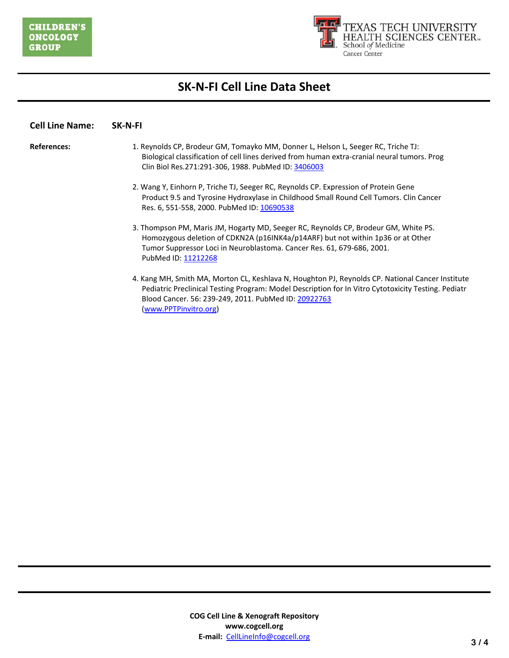

### **Cell Line Name: SK-N-FI**

- **References:** 1. Reynolds CP, Brodeur GM, Tomayko MM, Donner L, Helson L, Seeger RC, Triche TJ: Biological classification of cell lines derived from human extra-cranial neural tumors. Prog Clin Biol Res.271:291-306, 1988. PubMed ID: [3406003](http://www.ncbi.nlm.nih.gov/pubmed/3406003)
	- 2. Wang Y, Einhorn P, Triche TJ, Seeger RC, Reynolds CP. Expression of Protein Gene Product 9.5 and Tyrosine Hydroxylase in Childhood Small Round Cell Tumors. Clin Cancer Res. 6, 551-558, 2000. PubMed ID: [10690538](http://www.ncbi.nlm.nih.gov/pubmed/10690538)
	- 3. Thompson PM, Maris JM, Hogarty MD, Seeger RC, Reynolds CP, Brodeur GM, White PS. Homozygous deletion of CDKN2A (p16INK4a/p14ARF) but not within 1p36 or at Other Tumor Suppressor Loci in Neuroblastoma. Cancer Res. 61, 679-686, 2001. PubMed ID: [11212268](http://www.ncbi.nlm.nih.gov/pubmed/11212268)
	- 4. Kang MH, Smith MA, Morton CL, Keshlava N, Houghton PJ, Reynolds CP. National Cancer Institute Pediatric Preclinical Testing Program: Model Description for In Vitro Cytotoxicity Testing. Pediatr Blood Cancer. 56: 239-249, 2011. PubMed ID: [20922763](http://www.ncbi.nlm.nih.gov/pubmed?term=PMC3005554) [\(www.PPTPinvitro.org\)](http://www.pptpinvitro.org/)